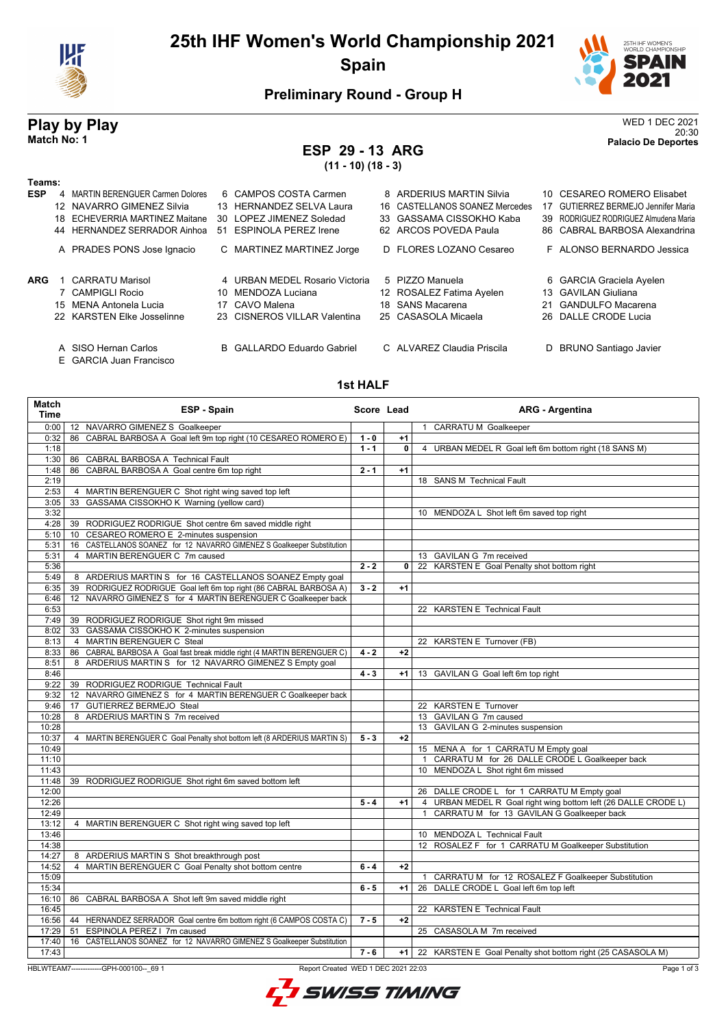

## **25th IHF Women's World Championship 2021 Spain**



### **Preliminary Round - Group H**

# **Play by Play** WED 1 DEC 2021

#### 20:30 **Match No: 1 Palacio De Deportes ESP 29 - 13 ARG**

**(11 - 10) (18 - 3)**

| Teams:     |                                   |    |                                   |                                |    |                                       |
|------------|-----------------------------------|----|-----------------------------------|--------------------------------|----|---------------------------------------|
| <b>ESP</b> | 4 MARTIN BERENGUER Carmen Dolores |    | 6 CAMPOS COSTA Carmen             | 8 ARDERIUS MARTIN Silvia       |    | 10 CESAREO ROMERO Elisabet            |
|            | 12 NAVARRO GIMENEZ Silvia         |    | 13 HERNANDEZ SELVA Laura          | 16 CASTELLANOS SOANEZ Mercedes | 17 | GUTIERREZ BERMEJO Jennifer Maria      |
|            | 18 ECHEVERRIA MARTINEZ Maitane    |    | 30 LOPEZ JIMENEZ Soledad          | 33 GASSAMA CISSOKHO Kaba       |    | 39 RODRIGUEZ RODRIGUEZ Almudena Maria |
|            | 44 HERNANDEZ SERRADOR Ainhoa      |    | 51 ESPINOLA PEREZ Irene           | 62 ARCOS POVEDA Paula          |    | 86 CABRAL BARBOSA Alexandrina         |
|            | A PRADES PONS Jose Ignacio        |    | C MARTINEZ MARTINEZ Jorge         | D FLORES LOZANO Cesareo        |    | F ALONSO BERNARDO Jessica             |
| <b>ARG</b> | <b>CARRATU Marisol</b>            |    | 4 URBAN MEDEL Rosario Victoria    | 5 PIZZO Manuela                |    | 6 GARCIA Graciela Ayelen              |
|            | 7 CAMPIGLI Rocio                  |    | 10 MENDOZA Luciana                | 12 ROSALEZ Fatima Ayelen       |    | 13 GAVILAN Giuliana                   |
|            | 15 MENA Antonela Lucia            | 17 | CAVO Malena                       | 18 SANS Macarena               |    | 21 GANDULFO Macarena                  |
|            | 22 KARSTEN Elke Josselinne        |    | 23 CISNEROS VILLAR Valentina      | 25 CASASOLA Micaela            |    | 26 DALLE CRODE Lucia                  |
|            | A SISO Hernan Carlos              |    | <b>B</b> GALLARDO Eduardo Gabriel | C ALVAREZ Claudia Priscila     | D  | <b>BRUNO Santiago Javier</b>          |

- E GARCIA Juan Francisco
- - **1st HALF**

| <b>Match</b><br><b>Time</b> | ESP - Spain                                                              | Score Lead |                | <b>ARG - Argentina</b>                                           |
|-----------------------------|--------------------------------------------------------------------------|------------|----------------|------------------------------------------------------------------|
| 0:00                        | 12 NAVARRO GIMENEZ S Goalkeeper                                          |            |                | 1 CARRATU M Goalkeeper                                           |
| 0:32                        | 86 CABRAL BARBOSA A Goal left 9m top right (10 CESAREO ROMERO E)         | $1 - 0$    | $+1$           |                                                                  |
| 1:18                        |                                                                          | $1 - 1$    | 0              | 4 URBAN MEDEL R Goal left 6m bottom right (18 SANS M)            |
| 1:30                        | 86 CABRAL BARBOSA A Technical Fault                                      |            |                |                                                                  |
| 1:48                        | 86 CABRAL BARBOSA A Goal centre 6m top right                             | $2 - 1$    | $+1$           |                                                                  |
| 2:19                        |                                                                          |            |                | 18 SANS M Technical Fault                                        |
| 2:53                        | 4 MARTIN BERENGUER C Shot right wing saved top left                      |            |                |                                                                  |
| 3:05                        | GASSAMA CISSOKHO K Warning (yellow card)<br>33                           |            |                |                                                                  |
| 3:32                        |                                                                          |            |                | 10 MENDOZA L Shot left 6m saved top right                        |
| 4:28                        | 39 RODRIGUEZ RODRIGUE Shot centre 6m saved middle right                  |            |                |                                                                  |
| 5:10                        | 10 CESAREO ROMERO E 2-minutes suspension                                 |            |                |                                                                  |
| 5:31                        | 16 CASTELLANOS SOANEZ for 12 NAVARRO GIMENEZ S Goalkeeper Substitution   |            |                |                                                                  |
| 5:31                        | 4 MARTIN BERENGUER C 7m caused                                           |            |                | 13 GAVILAN G 7m received                                         |
| 5:36                        |                                                                          | $2 - 2$    | $\overline{0}$ | 22 KARSTEN E Goal Penalty shot bottom right                      |
| 5:49                        | 8 ARDERIUS MARTIN S for 16 CASTELLANOS SOANEZ Empty goal                 |            |                |                                                                  |
| 6:35                        | 39 RODRIGUEZ RODRIGUE Goal left 6m top right (86 CABRAL BARBOSA A)       | $3 - 2$    | $+1$           |                                                                  |
| 6:46                        | 12 NAVARRO GIMENEZ S for 4 MARTIN BERENGUER C Goalkeeper back            |            |                |                                                                  |
| 6:53                        |                                                                          |            |                | 22 KARSTEN E Technical Fault                                     |
| 7:49                        | 39 RODRIGUEZ RODRIGUE Shot right 9m missed                               |            |                |                                                                  |
| 8:02                        | 33 GASSAMA CISSOKHO K 2-minutes suspension                               |            |                |                                                                  |
| 8:13                        | 4 MARTIN BERENGUER C Steal                                               |            |                | 22 KARSTEN E Turnover (FB)                                       |
| 8:33                        | 86 CABRAL BARBOSA A Goal fast break middle right (4 MARTIN BERENGUER C)  | $4 - 2$    | $+2$           |                                                                  |
| 8:51                        | 8 ARDERIUS MARTIN S for 12 NAVARRO GIMENEZ S Empty goal                  |            |                |                                                                  |
| 8:46                        |                                                                          | $4 - 3$    | $+1$           | 13 GAVILAN G Goal left 6m top right                              |
| 9:22                        | 39 RODRIGUEZ RODRIGUE Technical Fault                                    |            |                |                                                                  |
| 9:32                        | 12 NAVARRO GIMENEZ S for 4 MARTIN BERENGUER C Goalkeeper back            |            |                |                                                                  |
| 9:46                        | <b>GUTIERREZ BERMEJO Steal</b><br>17                                     |            |                | 22 KARSTEN E Turnover                                            |
| 10:28                       | 8 ARDERIUS MARTIN S 7m received                                          |            |                | 13 GAVILAN G 7m caused                                           |
| 10:28                       |                                                                          |            |                | 13 GAVILAN G 2-minutes suspension                                |
| 10:37                       | 4 MARTIN BERENGUER C Goal Penalty shot bottom left (8 ARDERIUS MARTIN S) | $5 - 3$    | $+2$           |                                                                  |
| 10:49                       |                                                                          |            |                | 15 MENA A for 1 CARRATU M Empty goal                             |
| 11:10                       |                                                                          |            |                | 1 CARRATU M for 26 DALLE CRODE L Goalkeeper back                 |
| 11:43                       |                                                                          |            |                | 10 MENDOZA L Shot right 6m missed                                |
| 11:48                       | 39 RODRIGUEZ RODRIGUE Shot right 6m saved bottom left                    |            |                |                                                                  |
| 12:00                       |                                                                          |            |                | 26 DALLE CRODE L for 1 CARRATU M Empty goal                      |
| 12:26                       |                                                                          | $5 - 4$    | $+1$           | 4 URBAN MEDEL R Goal right wing bottom left (26 DALLE CRODE L)   |
| 12:49                       |                                                                          |            |                | CARRATU M for 13 GAVILAN G Goalkeeper back<br>$\mathbf{1}$       |
| 13:12                       | 4 MARTIN BERENGUER C Shot right wing saved top left                      |            |                |                                                                  |
| 13:46                       |                                                                          |            |                | 10 MENDOZA L Technical Fault                                     |
| 14:38                       |                                                                          |            |                | 12 ROSALEZ F for 1 CARRATU M Goalkeeper Substitution             |
| 14:27                       | 8 ARDERIUS MARTIN S Shot breakthrough post                               |            |                |                                                                  |
| 14:52                       | 4 MARTIN BERENGUER C Goal Penalty shot bottom centre                     | $6 - 4$    | $+2$           |                                                                  |
| 15:09                       |                                                                          |            |                | CARRATU M for 12 ROSALEZ F Goalkeeper Substitution               |
| 15:34                       |                                                                          | $6 - 5$    | $+1$           | 26 DALLE CRODE L Goal left 6m top left                           |
| 16:10                       | 86 CABRAL BARBOSA A Shot left 9m saved middle right                      |            |                |                                                                  |
| 16:45                       |                                                                          |            |                | 22 KARSTEN E Technical Fault                                     |
| 16:56                       | 44 HERNANDEZ SERRADOR Goal centre 6m bottom right (6 CAMPOS COSTA C)     | $7 - 5$    | $+2$           |                                                                  |
| 17:29                       | 51 ESPINOLA PEREZ   7m caused                                            |            |                | 25 CASASOLA M 7m received                                        |
| 17:40                       | 16 CASTELLANOS SOANEZ for 12 NAVARRO GIMENEZ S Goalkeeper Substitution   |            |                |                                                                  |
| 17:43                       |                                                                          | $7 - 6$    |                | +1   22 KARSTEN E Goal Penalty shot bottom right (25 CASASOLA M) |

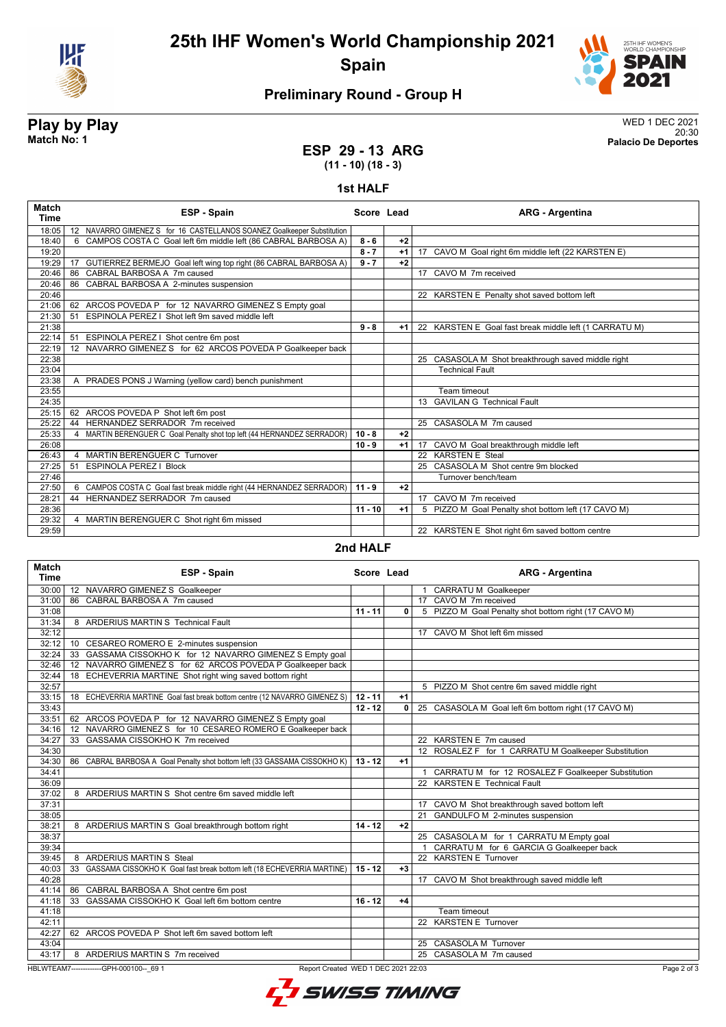

**25th IHF Women's World Championship 2021 Spain**



### **Preliminary Round - Group H**

# **Play by Play** WED 1 DEC 2021

20:30 **Match No: 1 Palacio De Deportes**

#### **ESP 29 - 13 ARG (11 - 10) (18 - 3)**

#### **1st HALF**

| <b>Match</b><br><b>Time</b> | ESP - Spain                                                                | Score Lead |      | <b>ARG - Argentina</b>                                 |
|-----------------------------|----------------------------------------------------------------------------|------------|------|--------------------------------------------------------|
| 18:05                       | 12 NAVARRO GIMENEZ S for 16 CASTELLANOS SOANEZ Goalkeeper Substitution     |            |      |                                                        |
| 18:40                       | 6 CAMPOS COSTA C Goal left 6m middle left (86 CABRAL BARBOSA A)            | $8 - 6$    | $+2$ |                                                        |
| 19:20                       |                                                                            | $8 - 7$    | $+1$ | 17 CAVO M Goal right 6m middle left (22 KARSTEN E)     |
| 19:29                       | GUTIERREZ BERMEJO Goal left wing top right (86 CABRAL BARBOSA A)<br>17     | $9 - 7$    | $+2$ |                                                        |
| 20:46                       | CABRAL BARBOSA A 7m caused<br>86                                           |            |      | 17 CAVO M 7m received                                  |
| 20:46                       | 86 CABRAL BARBOSA A 2-minutes suspension                                   |            |      |                                                        |
| 20:46                       |                                                                            |            |      | 22 KARSTEN E Penalty shot saved bottom left            |
| 21:06                       | 62 ARCOS POVEDA P for 12 NAVARRO GIMENEZ S Empty goal                      |            |      |                                                        |
| 21:30                       | ESPINOLA PEREZ   Shot left 9m saved middle left<br>51                      |            |      |                                                        |
| 21:38                       |                                                                            | $9 - 8$    | $+1$ | 22 KARSTEN E Goal fast break middle left (1 CARRATU M) |
| 22:14                       | ESPINOLA PEREZ I Shot centre 6m post<br>51                                 |            |      |                                                        |
| 22:19                       | NAVARRO GIMENEZ S for 62 ARCOS POVEDA P Goalkeeper back<br>12 <sup>2</sup> |            |      |                                                        |
| 22:38                       |                                                                            |            |      | 25 CASASOLA M Shot breakthrough saved middle right     |
| 23:04                       |                                                                            |            |      | <b>Technical Fault</b>                                 |
| 23:38                       | A PRADES PONS J Warning (yellow card) bench punishment                     |            |      |                                                        |
| 23:55                       |                                                                            |            |      | Team timeout                                           |
| 24:35                       |                                                                            |            |      | 13 GAVILAN G Technical Fault                           |
| 25:15                       | 62 ARCOS POVEDA P Shot left 6m post                                        |            |      |                                                        |
| 25:22                       | HERNANDEZ SERRADOR 7m received<br>44                                       |            |      | 25 CASASOLA M 7m caused                                |
| 25:33                       | 4 MARTIN BERENGUER C Goal Penalty shot top left (44 HERNANDEZ SERRADOR)    | $10 - 8$   | $+2$ |                                                        |
| 26:08                       |                                                                            | $10 - 9$   | $+1$ | 17 CAVO M Goal breakthrough middle left                |
| 26:43                       | 4 MARTIN BERENGUER C Turnover                                              |            |      | 22 KARSTEN E Steal                                     |
| 27:25                       | <b>ESPINOLA PEREZ   Block</b><br>51                                        |            |      | 25 CASASOLA M Shot centre 9m blocked                   |
| 27:46                       |                                                                            |            |      | Turnover bench/team                                    |
| 27:50                       | 6 CAMPOS COSTA C Goal fast break middle right (44 HERNANDEZ SERRADOR)      | $11 - 9$   | $+2$ |                                                        |
| 28:21                       | HERNANDEZ SERRADOR 7m caused<br>44                                         |            |      | 17 CAVO M 7m received                                  |
| 28:36                       |                                                                            | $11 - 10$  | $+1$ | 5 PIZZO M Goal Penalty shot bottom left (17 CAVO M)    |
| 29:32                       | MARTIN BERENGUER C Shot right 6m missed<br>4                               |            |      |                                                        |
| 29:59                       |                                                                            |            |      | 22 KARSTEN E Shot right 6m saved bottom centre         |

#### **2nd HALF**

| <b>Match</b><br><b>Time</b> | ESP - Spain                                                                     | Score Lead |              | <b>ARG</b> - Argentina                               |
|-----------------------------|---------------------------------------------------------------------------------|------------|--------------|------------------------------------------------------|
| 30:00                       | NAVARRO GIMENEZ S Goalkeeper<br>12                                              |            |              | <b>CARRATU M Goalkeeper</b><br>$\overline{1}$        |
| 31:00                       | 86 CABRAL BARBOSA A 7m caused                                                   |            |              | 17 CAVO M 7m received                                |
| 31:08                       |                                                                                 | $11 - 11$  | 0            | 5 PIZZO M Goal Penalty shot bottom right (17 CAVO M) |
| 31:34                       | 8 ARDERIUS MARTIN S Technical Fault                                             |            |              |                                                      |
| 32:12                       |                                                                                 |            |              | CAVO M Shot left 6m missed<br>17                     |
| 32:12                       | CESAREO ROMERO E 2-minutes suspension<br>10                                     |            |              |                                                      |
| 32:24                       | GASSAMA CISSOKHO K for 12 NAVARRO GIMENEZ S Empty goal<br>33                    |            |              |                                                      |
| 32:46                       | NAVARRO GIMENEZ S for 62 ARCOS POVEDA P Goalkeeper back<br>12                   |            |              |                                                      |
| 32:44                       | ECHEVERRIA MARTINE Shot right wing saved bottom right<br>18                     |            |              |                                                      |
| 32:57                       |                                                                                 |            |              | 5 PIZZO M Shot centre 6m saved middle right          |
| 33:15                       | ECHEVERRIA MARTINE Goal fast break bottom centre (12 NAVARRO GIMENEZ S)<br>18   | $12 - 11$  | $+1$         |                                                      |
| 33:43                       |                                                                                 | $12 - 12$  | $\mathbf{0}$ | 25 CASASOLA M Goal left 6m bottom right (17 CAVO M)  |
| 33:51                       | 62 ARCOS POVEDA P for 12 NAVARRO GIMENEZ S Empty goal                           |            |              |                                                      |
| 34:16                       | NAVARRO GIMENEZ S for 10 CESAREO ROMERO E Goalkeeper back<br>12                 |            |              |                                                      |
| 34:27                       | GASSAMA CISSOKHO K 7m received<br>33                                            |            |              | 22 KARSTEN E 7m caused                               |
| 34:30                       |                                                                                 |            |              | 12 ROSALEZ F for 1 CARRATU M Goalkeeper Substitution |
| 34:30                       | 86 CABRAL BARBOSA A Goal Penalty shot bottom left (33 GASSAMA CISSOKHO K)       | $13 - 12$  | $+1$         |                                                      |
| 34:41                       |                                                                                 |            |              | CARRATU M for 12 ROSALEZ F Goalkeeper Substitution   |
| 36:09                       |                                                                                 |            |              | 22 KARSTEN E Technical Fault                         |
| 37:02                       | 8 ARDERIUS MARTIN S Shot centre 6m saved middle left                            |            |              |                                                      |
| 37:31                       |                                                                                 |            |              | 17 CAVO M Shot breakthrough saved bottom left        |
| 38:05                       |                                                                                 |            |              | 21<br>GANDULFO M 2-minutes suspension                |
| 38:21                       | 8 ARDERIUS MARTIN S Goal breakthrough bottom right                              | $14 - 12$  | $+2$         |                                                      |
| 38:37                       |                                                                                 |            |              | 25 CASASOLA M for 1 CARRATU M Empty goal             |
| 39:34                       |                                                                                 |            |              | CARRATU M for 6 GARCIA G Goalkeeper back             |
| 39:45                       | 8 ARDERIUS MARTIN S Steal                                                       |            |              | 22 KARSTEN E Turnover                                |
| 40:03                       | GASSAMA CISSOKHO K Goal fast break bottom left (18 ECHEVERRIA MARTINE)<br>33    | $15 - 12$  | $+3$         |                                                      |
| 40:28                       |                                                                                 |            |              | 17 CAVO M Shot breakthrough saved middle left        |
| 41:14                       | CABRAL BARBOSA A Shot centre 6m post<br>86                                      |            |              |                                                      |
| 41:18                       | 33 GASSAMA CISSOKHO K Goal left 6m bottom centre                                | $16 - 12$  | $+4$         |                                                      |
| 41:18                       |                                                                                 |            |              | Team timeout                                         |
| 42:11                       |                                                                                 |            |              | <b>KARSTEN E Turnover</b><br>22                      |
| 42:27                       | 62 ARCOS POVEDA P Shot left 6m saved bottom left                                |            |              |                                                      |
| 43:04                       |                                                                                 |            |              | 25 CASASOLA M Turnover                               |
| 43:17                       | 8 ARDERIUS MARTIN S 7m received                                                 |            |              | 25 CASASOLA M 7m caused                              |
|                             | HBLWTEAM7--------------GPH-000100-- 69 1<br>Report Created WED 1 DEC 2021 22:03 |            |              | Page 2 of                                            |